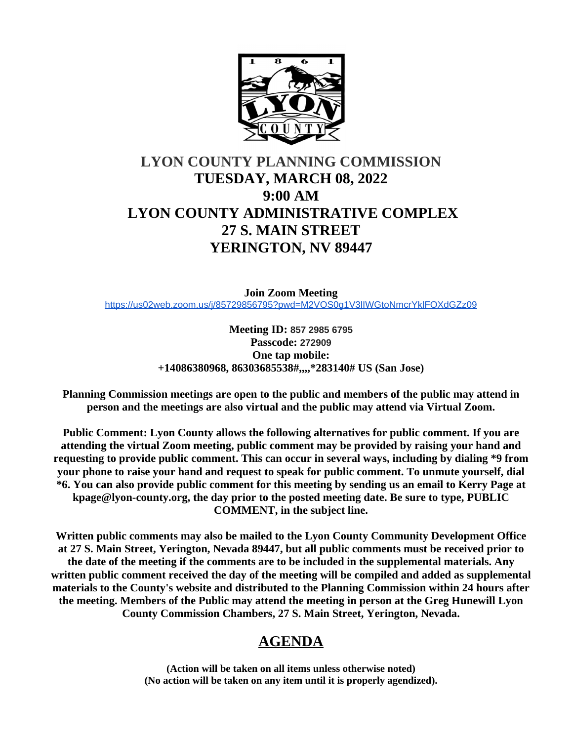

# **LYON COUNTY PLANNING COMMISSION TUESDAY, MARCH 08, 2022 9:00 AM LYON COUNTY ADMINISTRATIVE COMPLEX 27 S. MAIN STREET YERINGTON, NV 89447**

**Join Zoom Meeting** [https://us02web.zoom.us/j/85729856795?pwd=M2VOS0g1V3lIWGtoNmcrYklFOXdGZz09](https://www.google.com/url?q=https%3A%2F%2Fus02web.zoom.us%2Fj%2F85729856795%3Fpwd%3DM2VOS0g1V3lIWGtoNmcrYklFOXdGZz09&sa=D&ust=1646517957600000&usg=AOvVaw0e02zh5M9C7tJptJ5LfCDz)

> **Meeting ID: 857 2985 6795 Passcode: 272909 One tap mobile: +14086380968, 86303685538#,,,,\*283140# US (San Jose)**

**Planning Commission meetings are open to the public and members of the public may attend in person and the meetings are also virtual and the public may attend via Virtual Zoom.**

**Public Comment: Lyon County allows the following alternatives for public comment. If you are attending the virtual Zoom meeting, public comment may be provided by raising your hand and requesting to provide public comment. This can occur in several ways, including by dialing \*9 from your phone to raise your hand and request to speak for public comment. To unmute yourself, dial \*6. You can also provide public comment for this meeting by sending us an email to Kerry Page at kpage@lyon-county.org, the day prior to the posted meeting date. Be sure to type, PUBLIC COMMENT, in the subject line.**

**Written public comments may also be mailed to the Lyon County Community Development Office at 27 S. Main Street, Yerington, Nevada 89447, but all public comments must be received prior to the date of the meeting if the comments are to be included in the supplemental materials. Any written public comment received the day of the meeting will be compiled and added as supplemental materials to the County's website and distributed to the Planning Commission within 24 hours after the meeting. Members of the Public may attend the meeting in person at the Greg Hunewill Lyon County Commission Chambers, 27 S. Main Street, Yerington, Nevada.**

# **AGENDA**

**(Action will be taken on all items unless otherwise noted) (No action will be taken on any item until it is properly agendized).**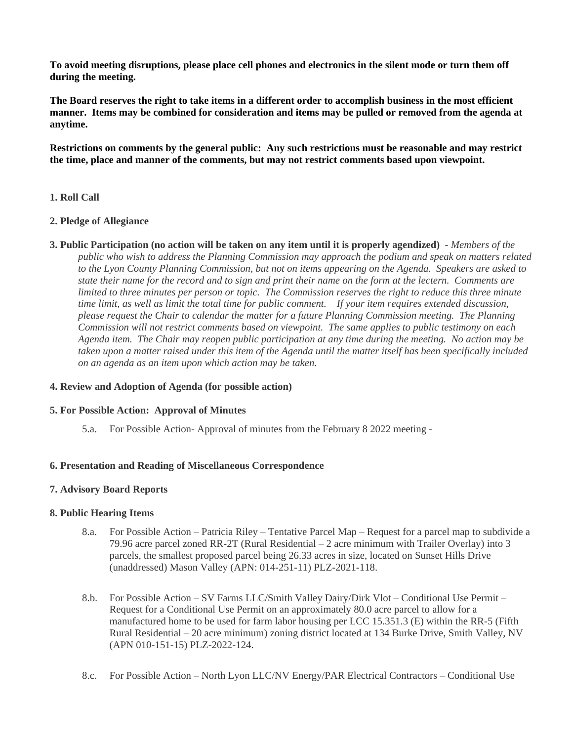**To avoid meeting disruptions, please place cell phones and electronics in the silent mode or turn them off during the meeting.**

**The Board reserves the right to take items in a different order to accomplish business in the most efficient manner. Items may be combined for consideration and items may be pulled or removed from the agenda at anytime.**

**Restrictions on comments by the general public: Any such restrictions must be reasonable and may restrict the time, place and manner of the comments, but may not restrict comments based upon viewpoint.**

## **1. Roll Call**

## **2. Pledge of Allegiance**

**3. Public Participation (no action will be taken on any item until it is properly agendized)** - *Members of the public who wish to address the Planning Commission may approach the podium and speak on matters related to the Lyon County Planning Commission, but not on items appearing on the Agenda. Speakers are asked to state their name for the record and to sign and print their name on the form at the lectern. Comments are limited to three minutes per person or topic. The Commission reserves the right to reduce this three minute time limit, as well as limit the total time for public comment. If your item requires extended discussion, please request the Chair to calendar the matter for a future Planning Commission meeting. The Planning Commission will not restrict comments based on viewpoint. The same applies to public testimony on each Agenda item. The Chair may reopen public participation at any time during the meeting. No action may be taken upon a matter raised under this item of the Agenda until the matter itself has been specifically included on an agenda as an item upon which action may be taken.*

# **4. Review and Adoption of Agenda (for possible action)**

## **5. For Possible Action: Approval of Minutes**

5.a. For Possible Action- Approval of minutes from the February 8 2022 meeting -

## **6. Presentation and Reading of Miscellaneous Correspondence**

## **7. Advisory Board Reports**

## **8. Public Hearing Items**

- 8.a. For Possible Action Patricia Riley Tentative Parcel Map Request for a parcel map to subdivide a 79.96 acre parcel zoned RR-2T (Rural Residential – 2 acre minimum with Trailer Overlay) into 3 parcels, the smallest proposed parcel being 26.33 acres in size, located on Sunset Hills Drive (unaddressed) Mason Valley (APN: 014-251-11) PLZ-2021-118.
- 8.b. For Possible Action SV Farms LLC/Smith Valley Dairy/Dirk Vlot Conditional Use Permit Request for a Conditional Use Permit on an approximately 80.0 acre parcel to allow for a manufactured home to be used for farm labor housing per LCC 15.351.3 (E) within the RR-5 (Fifth Rural Residential – 20 acre minimum) zoning district located at 134 Burke Drive, Smith Valley, NV (APN 010-151-15) PLZ-2022-124.
- 8.c. For Possible Action North Lyon LLC/NV Energy/PAR Electrical Contractors Conditional Use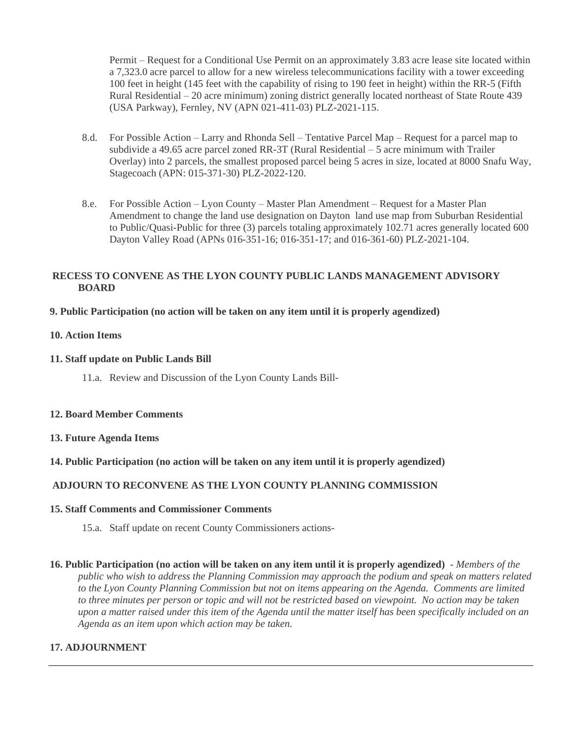Permit – Request for a Conditional Use Permit on an approximately 3.83 acre lease site located within a 7,323.0 acre parcel to allow for a new wireless telecommunications facility with a tower exceeding 100 feet in height (145 feet with the capability of rising to 190 feet in height) within the RR-5 (Fifth Rural Residential – 20 acre minimum) zoning district generally located northeast of State Route 439 (USA Parkway), Fernley, NV (APN 021-411-03) PLZ-2021-115.

- 8.d. For Possible Action Larry and Rhonda Sell Tentative Parcel Map Request for a parcel map to subdivide a 49.65 acre parcel zoned RR-3T (Rural Residential – 5 acre minimum with Trailer Overlay) into 2 parcels, the smallest proposed parcel being 5 acres in size, located at 8000 Snafu Way, Stagecoach (APN: 015-371-30) PLZ-2022-120.
- 8.e. For Possible Action Lyon County Master Plan Amendment Request for a Master Plan Amendment to change the land use designation on Dayton land use map from Suburban Residential to Public/Quasi-Public for three (3) parcels totaling approximately 102.71 acres generally located 600 Dayton Valley Road (APNs 016-351-16; 016-351-17; and 016-361-60) PLZ-2021-104.

# **RECESS TO CONVENE AS THE LYON COUNTY PUBLIC LANDS MANAGEMENT ADVISORY BOARD**

# **9. Public Participation (no action will be taken on any item until it is properly agendized)**

# **10. Action Items**

## **11. Staff update on Public Lands Bill**

11.a. Review and Discussion of the Lyon County Lands Bill-

## **12. Board Member Comments**

# **13. Future Agenda Items**

# **14. Public Participation (no action will be taken on any item until it is properly agendized)**

# **ADJOURN TO RECONVENE AS THE LYON COUNTY PLANNING COMMISSION**

# **15. Staff Comments and Commissioner Comments**

- 15.a. Staff update on recent County Commissioners actions-
- **16. Public Participation (no action will be taken on any item until it is properly agendized)** *Members of the public who wish to address the Planning Commission may approach the podium and speak on matters related to the Lyon County Planning Commission but not on items appearing on the Agenda. Comments are limited to three minutes per person or topic and will not be restricted based on viewpoint. No action may be taken upon a matter raised under this item of the Agenda until the matter itself has been specifically included on an Agenda as an item upon which action may be taken.*

# **17. ADJOURNMENT**